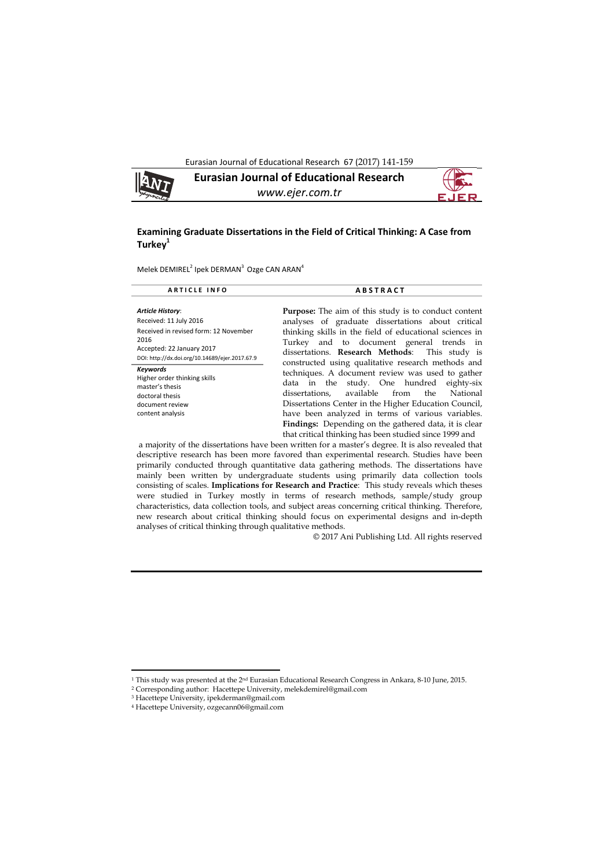Eurasian Journal of Educational Research 67 (2017) 141-159



#### **Examining Graduate Dissertations in the Field of Critical Thinking: A Case from Turkey1**

Melek DEMIREL<sup>2</sup> Ipek DERMAN<sup>3</sup> Ozge CAN ARAN<sup>4</sup>

| <b>ARTICLE INFO</b>                                                                                                                                                        | <b>ABSTRACT</b>                                                                                                                                                                                                                                                                                                                                                                              |  |  |  |  |  |
|----------------------------------------------------------------------------------------------------------------------------------------------------------------------------|----------------------------------------------------------------------------------------------------------------------------------------------------------------------------------------------------------------------------------------------------------------------------------------------------------------------------------------------------------------------------------------------|--|--|--|--|--|
| Article History:<br>Received: 11 July 2016<br>Received in revised form: 12 November<br>2016<br>Accepted: 22 January 2017<br>DOI: http://dx.doi.org/10.14689/ejer.2017.67.9 | <b>Purpose:</b> The aim of this study is to conduct content<br>analyses of graduate dissertations about critical<br>thinking skills in the field of educational sciences in<br>Turkey and to document general trends in<br>dissertations. Research Methods: This study is<br>constructed using qualitative research methods and                                                              |  |  |  |  |  |
| <b>Keywords</b><br>Higher order thinking skills<br>master's thesis<br>doctoral thesis<br>document review<br>content analysis                                               | techniques. A document review was used to gather<br>data in the study. One hundred eighty-six<br>available from<br>National<br>dissertations.<br>the<br>Dissertations Center in the Higher Education Council,<br>have been analyzed in terms of various variables.<br><b>Findings:</b> Depending on the gathered data, it is clear<br>that critical thinking has been studied since 1999 and |  |  |  |  |  |
| a majority of the dissertations have been written for a master's degree. It is also revealed that                                                                          |                                                                                                                                                                                                                                                                                                                                                                                              |  |  |  |  |  |

descriptive research has been more favored than experimental research. Studies have been primarily conducted through quantitative data gathering methods. The dissertations have mainly been written by undergraduate students using primarily data collection tools consisting of scales. **Implications for Research and Practice**: This study reveals which theses were studied in Turkey mostly in terms of research methods, sample/study group characteristics, data collection tools, and subject areas concerning critical thinking. Therefore, new research about critical thinking should focus on experimental designs and in-depth analyses of critical thinking through qualitative methods.

© 2017 Ani Publishing Ltd. All rights reserved

 $\overline{\phantom{a}}$ 

<sup>1</sup> This study was presented at the 2nd Eurasian Educational Research Congress in Ankara, 8-10 June, 2015.

<sup>2</sup> Corresponding author: Hacettepe University, melekdemirel@gmail.com

<sup>3</sup> Hacettepe University, ipekderman@gmail.com

<sup>4</sup> Hacettepe University, ozgecann06@gmail.com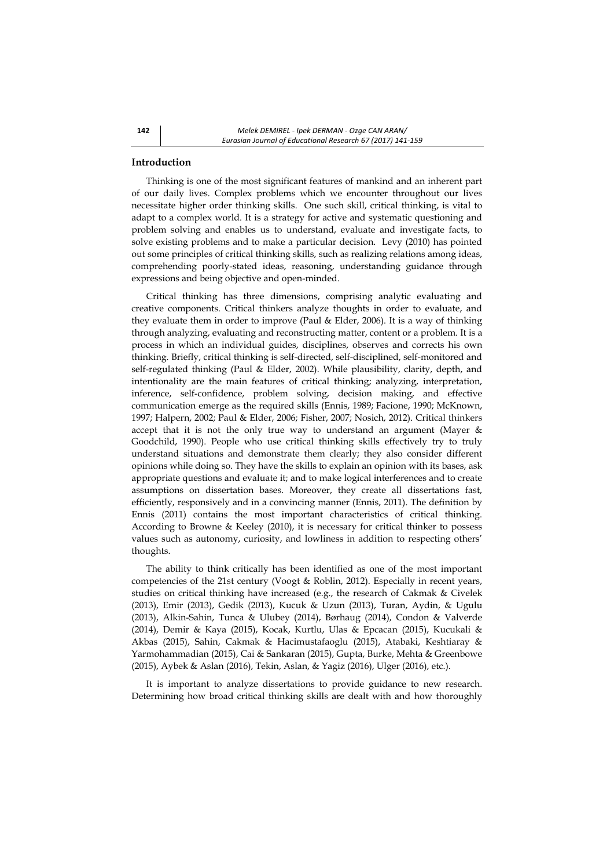## **Introduction**

Thinking is one of the most significant features of mankind and an inherent part of our daily lives. Complex problems which we encounter throughout our lives necessitate higher order thinking skills. One such skill, critical thinking, is vital to adapt to a complex world. It is a strategy for active and systematic questioning and problem solving and enables us to understand, evaluate and investigate facts, to solve existing problems and to make a particular decision. Levy (2010) has pointed out some principles of critical thinking skills, such as realizing relations among ideas, comprehending poorly-stated ideas, reasoning, understanding guidance through expressions and being objective and open-minded.

Critical thinking has three dimensions, comprising analytic evaluating and creative components. Critical thinkers analyze thoughts in order to evaluate, and they evaluate them in order to improve (Paul & Elder, 2006). It is a way of thinking through analyzing, evaluating and reconstructing matter, content or a problem. It is a process in which an individual guides, disciplines, observes and corrects his own thinking. Briefly, critical thinking is self-directed, self-disciplined, self-monitored and self-regulated thinking (Paul & Elder, 2002). While plausibility, clarity, depth, and intentionality are the main features of critical thinking; analyzing, interpretation, inference, self-confidence, problem solving, decision making, and effective communication emerge as the required skills (Ennis, 1989; Facione, 1990; McKnown, 1997; Halpern, 2002; Paul & Elder, 2006; Fisher, 2007; Nosich, 2012). Critical thinkers accept that it is not the only true way to understand an argument (Mayer & Goodchild, 1990). People who use critical thinking skills effectively try to truly understand situations and demonstrate them clearly; they also consider different opinions while doing so. They have the skills to explain an opinion with its bases, ask appropriate questions and evaluate it; and to make logical interferences and to create assumptions on dissertation bases. Moreover, they create all dissertations fast, efficiently, responsively and in a convincing manner (Ennis, 2011). The definition by Ennis (2011) contains the most important characteristics of critical thinking. According to Browne & Keeley (2010), it is necessary for critical thinker to possess values such as autonomy, curiosity, and lowliness in addition to respecting others' thoughts.

The ability to think critically has been identified as one of the most important competencies of the 21st century (Voogt & Roblin, 2012). Especially in recent years, studies on critical thinking have increased (e.g., the research of Cakmak & Civelek (2013), Emir (2013), Gedik (2013), Kucuk & Uzun (2013), Turan, Aydin, & Ugulu (2013), Alkin-Sahin, Tunca & Ulubey (2014), Børhaug (2014), Condon & Valverde (2014), Demir & Kaya (2015), Kocak, Kurtlu, Ulas & Epcacan (2015), Kucukali & Akbas (2015), Sahin, Cakmak & Hacimustafaoglu (2015), Atabaki, Keshtiaray & Yarmohammadian (2015), Cai & Sankaran (2015), Gupta, Burke, Mehta & Greenbowe (2015), Aybek & Aslan (2016), Tekin, Aslan, & Yagiz (2016), Ulger (2016), etc.).

It is important to analyze dissertations to provide guidance to new research. Determining how broad critical thinking skills are dealt with and how thoroughly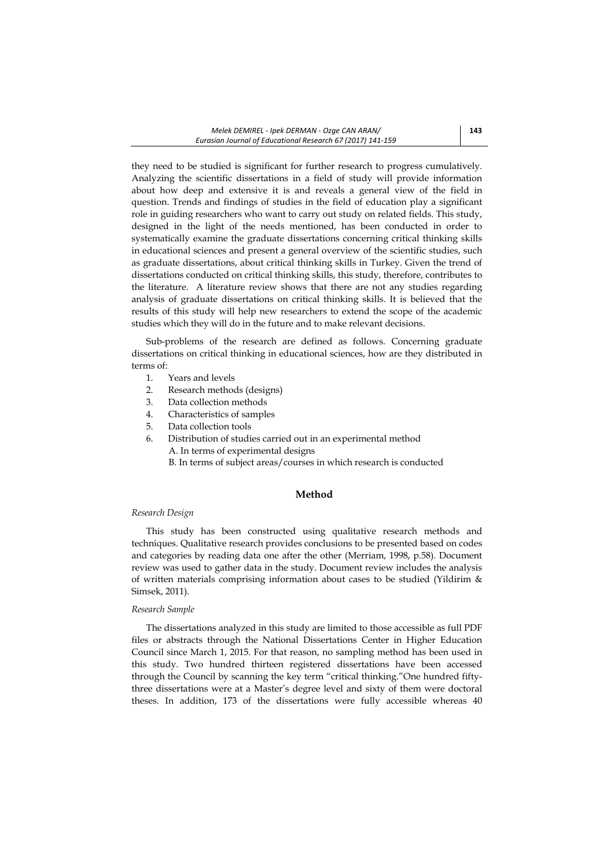they need to be studied is significant for further research to progress cumulatively. Analyzing the scientific dissertations in a field of study will provide information about how deep and extensive it is and reveals a general view of the field in question. Trends and findings of studies in the field of education play a significant role in guiding researchers who want to carry out study on related fields. This study, designed in the light of the needs mentioned, has been conducted in order to systematically examine the graduate dissertations concerning critical thinking skills in educational sciences and present a general overview of the scientific studies, such as graduate dissertations, about critical thinking skills in Turkey. Given the trend of dissertations conducted on critical thinking skills, this study, therefore, contributes to the literature. A literature review shows that there are not any studies regarding analysis of graduate dissertations on critical thinking skills. It is believed that the results of this study will help new researchers to extend the scope of the academic studies which they will do in the future and to make relevant decisions.

Sub-problems of the research are defined as follows. Concerning graduate dissertations on critical thinking in educational sciences, how are they distributed in terms of:

- 1. Years and levels
- 2. Research methods (designs)
- 3. Data collection methods
- 4. Characteristics of samples
- 5. Data collection tools
- 6. Distribution of studies carried out in an experimental method A. In terms of experimental designs
	- B. In terms of subject areas/courses in which research is conducted

### **Method**

## *Research Design*

This study has been constructed using qualitative research methods and techniques. Qualitative research provides conclusions to be presented based on codes and categories by reading data one after the other (Merriam, 1998, p.58). Document review was used to gather data in the study. Document review includes the analysis of written materials comprising information about cases to be studied (Yildirim & Simsek, 2011).

#### *Research Sample*

The dissertations analyzed in this study are limited to those accessible as full PDF files or abstracts through the National Dissertations Center in Higher Education Council since March 1, 2015. For that reason, no sampling method has been used in this study. Two hundred thirteen registered dissertations have been accessed through the Council by scanning the key term "critical thinking."One hundred fiftythree dissertations were at a Master's degree level and sixty of them were doctoral theses. In addition, 173 of the dissertations were fully accessible whereas 40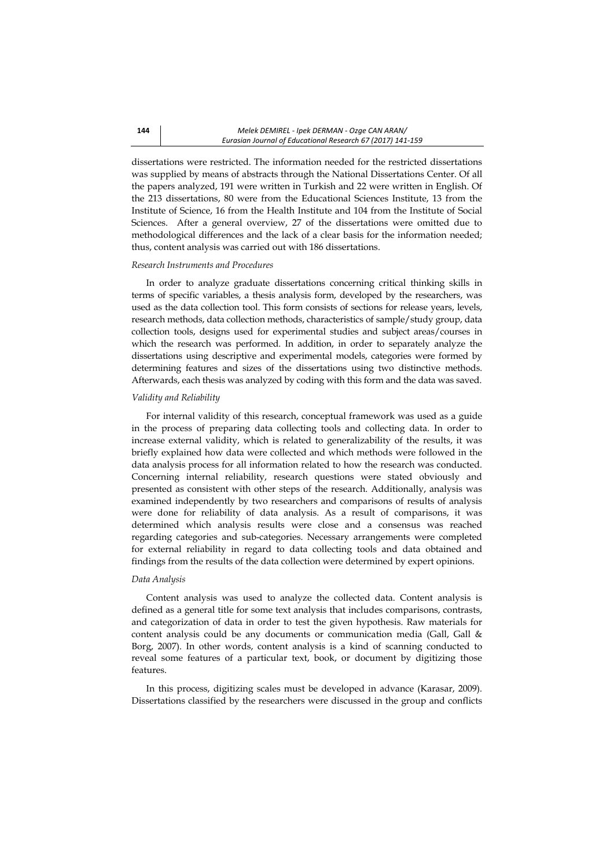dissertations were restricted. The information needed for the restricted dissertations was supplied by means of abstracts through the National Dissertations Center. Of all the papers analyzed, 191 were written in Turkish and 22 were written in English. Of the 213 dissertations, 80 were from the Educational Sciences Institute, 13 from the Institute of Science, 16 from the Health Institute and 104 from the Institute of Social Sciences. After a general overview, 27 of the dissertations were omitted due to methodological differences and the lack of a clear basis for the information needed; thus, content analysis was carried out with 186 dissertations.

#### *Research Instruments and Procedures*

In order to analyze graduate dissertations concerning critical thinking skills in terms of specific variables, a thesis analysis form, developed by the researchers, was used as the data collection tool. This form consists of sections for release years, levels, research methods, data collection methods, characteristics of sample/study group, data collection tools, designs used for experimental studies and subject areas/courses in which the research was performed. In addition, in order to separately analyze the dissertations using descriptive and experimental models, categories were formed by determining features and sizes of the dissertations using two distinctive methods. Afterwards, each thesis was analyzed by coding with this form and the data was saved.

#### *Validity and Reliability*

For internal validity of this research, conceptual framework was used as a guide in the process of preparing data collecting tools and collecting data. In order to increase external validity, which is related to generalizability of the results, it was briefly explained how data were collected and which methods were followed in the data analysis process for all information related to how the research was conducted. Concerning internal reliability, research questions were stated obviously and presented as consistent with other steps of the research. Additionally, analysis was examined independently by two researchers and comparisons of results of analysis were done for reliability of data analysis. As a result of comparisons, it was determined which analysis results were close and a consensus was reached regarding categories and sub-categories. Necessary arrangements were completed for external reliability in regard to data collecting tools and data obtained and findings from the results of the data collection were determined by expert opinions.

#### *Data Analysis*

Content analysis was used to analyze the collected data. Content analysis is defined as a general title for some text analysis that includes comparisons, contrasts, and categorization of data in order to test the given hypothesis. Raw materials for content analysis could be any documents or communication media (Gall, Gall & Borg, 2007). In other words, content analysis is a kind of scanning conducted to reveal some features of a particular text, book, or document by digitizing those features.

In this process, digitizing scales must be developed in advance (Karasar, 2009). Dissertations classified by the researchers were discussed in the group and conflicts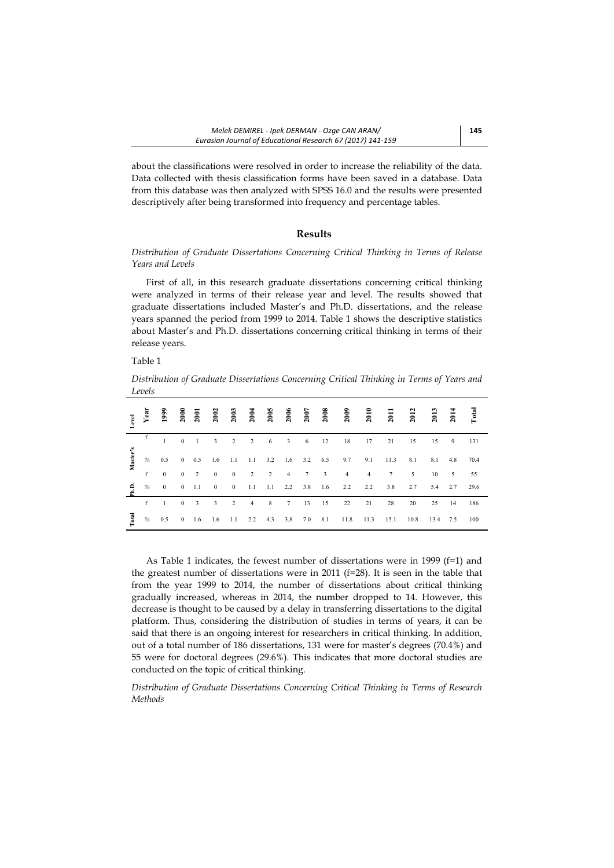about the classifications were resolved in order to increase the reliability of the data. Data collected with thesis classification forms have been saved in a database. Data from this database was then analyzed with SPSS 16.0 and the results were presented descriptively after being transformed into frequency and percentage tables.

### **Results**

## *Distribution of Graduate Dissertations Concerning Critical Thinking in Terms of Release Years and Levels*

First of all, in this research graduate dissertations concerning critical thinking were analyzed in terms of their release year and level. The results showed that graduate dissertations included Master's and Ph.D. dissertations, and the release years spanned the period from 1999 to 2014. Table 1 shows the descriptive statistics about Master's and Ph.D. dissertations concerning critical thinking in terms of their release years.

## Table 1

*Distribution of Graduate Dissertations Concerning Critical Thinking in Terms of Years and Levels* 

| $_{\rm evel}$ | Year | 1999           | 2000           | 2001                | 2002                     | 2003                     | 2004           | 2005            | 2006            | 2007 | 2008                    | 2009           | 2010           | 2011            | 2012 | 2013 | 2014           | <b>Total</b> |
|---------------|------|----------------|----------------|---------------------|--------------------------|--------------------------|----------------|-----------------|-----------------|------|-------------------------|----------------|----------------|-----------------|------|------|----------------|--------------|
|               |      |                |                | $0 \quad 1 \quad 3$ |                          | $\overline{2}$           | $\overline{2}$ | $6\overline{6}$ |                 |      | $3 \t 6 \t 12$          | 18             | 17 21          |                 | 15   | 15   | 9 <sup>7</sup> | 131          |
| Master's      | %    | 0.5            |                | $0 \t 0.5$          | 1.6                      | 1.1                      |                |                 |                 |      | 1.1 3.2 1.6 3.2 6.5 9.7 |                | 9.1            | 11.3            | 8.1  | 8.1  | 4.8            | 70.4         |
|               | f    | $\theta$       | $\overline{0}$ | 2                   | $\overline{0}$           | $\mathbf{0}$             | 2              | $\overline{2}$  | $\overline{4}$  | 7    | 3                       | $\overline{4}$ | $\overline{4}$ | $7\overline{ }$ | 5    | 10   | 5              | 55           |
| £.            | $\%$ | $\mathbf{0}$   |                | $0 \t 1.1$          | $\overline{\phantom{0}}$ | $\overline{\phantom{0}}$ | 1.1            | 1.1             | $2.2\qquad 3.8$ |      | 1.6                     | 2.2            | 2.2            | 3.8             | 2.7  |      | 5.4 2.7        | 29.6         |
|               | f    | $\overline{1}$ | $\overline{0}$ | 3                   | 3                        | 2                        | $\overline{4}$ | 8               | 7               | 13   | 15                      | 22             | 21             | 28              | 20   | 25   | 14             | 186          |
| <b>Total</b>  | %    | 0.5            |                | $0 \t 1.6$          | 1.6                      | 1.1                      | 2.2            | 4.3             | 3.8             | 7.0  | 8.1                     | 11.8           | 11.3           | 15.1            | 10.8 | 13.4 | 7.5            | 100          |

As Table 1 indicates, the fewest number of dissertations were in 1999  $(f=1)$  and the greatest number of dissertations were in 2011 ( $f=28$ ). It is seen in the table that from the year 1999 to 2014, the number of dissertations about critical thinking gradually increased, whereas in 2014, the number dropped to 14. However, this decrease is thought to be caused by a delay in transferring dissertations to the digital platform. Thus, considering the distribution of studies in terms of years, it can be said that there is an ongoing interest for researchers in critical thinking. In addition, out of a total number of 186 dissertations, 131 were for master's degrees (70.4%) and 55 were for doctoral degrees (29.6%). This indicates that more doctoral studies are conducted on the topic of critical thinking.

*Distribution of Graduate Dissertations Concerning Critical Thinking in Terms of Research Methods*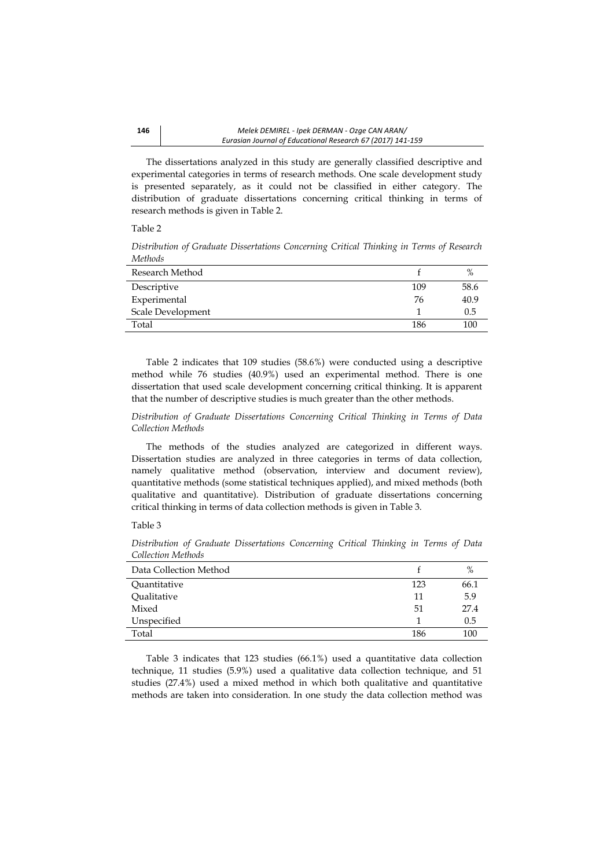The dissertations analyzed in this study are generally classified descriptive and experimental categories in terms of research methods. One scale development study is presented separately, as it could not be classified in either category. The distribution of graduate dissertations concerning critical thinking in terms of research methods is given in Table 2.

#### Table 2

*Distribution of Graduate Dissertations Concerning Critical Thinking in Terms of Research Methods* 

| Research Method   |     | $\%$ |
|-------------------|-----|------|
| Descriptive       | 109 | 58.6 |
| Experimental      | 76  | 40.9 |
| Scale Development |     | 0.5  |
| Total             | 186 | 100  |

Table 2 indicates that 109 studies (58.6%) were conducted using a descriptive method while 76 studies (40.9%) used an experimental method. There is one dissertation that used scale development concerning critical thinking. It is apparent that the number of descriptive studies is much greater than the other methods.

*Distribution of Graduate Dissertations Concerning Critical Thinking in Terms of Data Collection Methods* 

The methods of the studies analyzed are categorized in different ways. Dissertation studies are analyzed in three categories in terms of data collection, namely qualitative method (observation, interview and document review), quantitative methods (some statistical techniques applied), and mixed methods (both qualitative and quantitative). Distribution of graduate dissertations concerning critical thinking in terms of data collection methods is given in Table 3.

Table 3

|     | %    |
|-----|------|
| 123 | 66.1 |
| 11  | 5.9  |
| 51  | 27.4 |
|     | 0.5  |
| 186 | 100  |
|     |      |

*Distribution of Graduate Dissertations Concerning Critical Thinking in Terms of Data Collection Methods* 

Table 3 indicates that 123 studies (66.1%) used a quantitative data collection technique, 11 studies (5.9%) used a qualitative data collection technique, and 51 studies (27.4%) used a mixed method in which both qualitative and quantitative methods are taken into consideration. In one study the data collection method was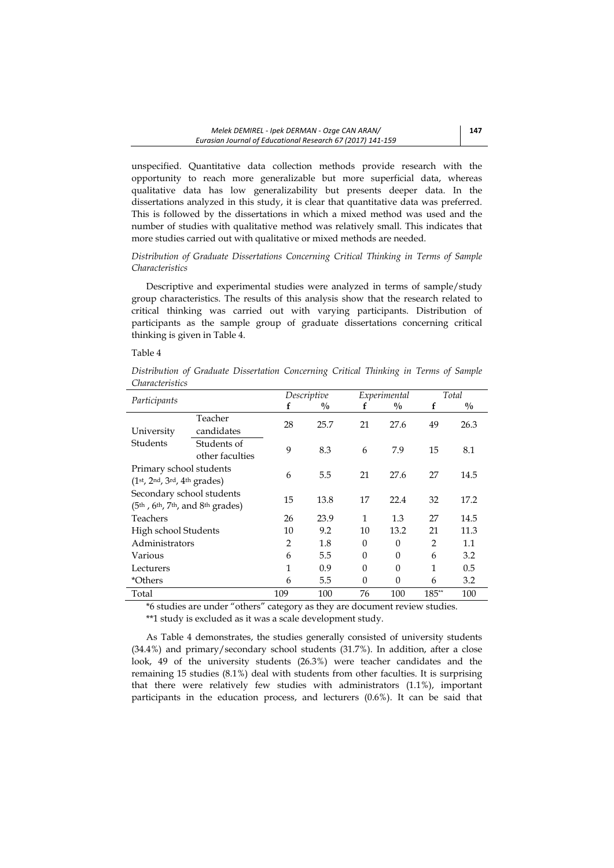unspecified. Quantitative data collection methods provide research with the opportunity to reach more generalizable but more superficial data, whereas qualitative data has low generalizability but presents deeper data. In the dissertations analyzed in this study, it is clear that quantitative data was preferred. This is followed by the dissertations in which a mixed method was used and the number of studies with qualitative method was relatively small. This indicates that more studies carried out with qualitative or mixed methods are needed.

## *Distribution of Graduate Dissertations Concerning Critical Thinking in Terms of Sample Characteristics*

Descriptive and experimental studies were analyzed in terms of sample/study group characteristics. The results of this analysis show that the research related to critical thinking was carried out with varying participants. Distribution of participants as the sample group of graduate dissertations concerning critical thinking is given in Table 4.

### Table 4

| Distribution of Graduate Dissertation Concerning Critical Thinking in Terms of Sample |  |  |  |  |  |
|---------------------------------------------------------------------------------------|--|--|--|--|--|
| <i>Characteristics</i>                                                                |  |  |  |  |  |

| Participants                      |                 |                | Descriptive   |          | Experimental  | Total          |               |  |
|-----------------------------------|-----------------|----------------|---------------|----------|---------------|----------------|---------------|--|
|                                   |                 | f              | $\frac{0}{0}$ | f        | $\frac{0}{0}$ | f              | $\frac{0}{0}$ |  |
|                                   | Teacher         | 28             | 25.7          | 21       | 27.6          | 49             | 26.3          |  |
| University                        | candidates      |                |               |          |               |                |               |  |
| Students                          | Students of     | 9              |               |          |               |                |               |  |
|                                   | other faculties |                | 8.3           | 6        | 7.9           | 15             | 8.1           |  |
| Primary school students           |                 |                |               |          |               |                |               |  |
| $(1st, 2nd, 3rd, 4th grades)$     |                 | 6              | 5.5           | 21       | 27.6          | 27             | 14.5          |  |
| Secondary school students         |                 |                |               |          |               |                |               |  |
| $(5th, 6th, 7th, and 8th grades)$ |                 | 15             | 13.8          | 17       | 22.4          | 32             | 17.2          |  |
| Teachers                          |                 | 26             | 23.9          | 1        | 1.3           | 27             | 14.5          |  |
| High school Students              |                 | 10             | 9.2           | 10       | 13.2          | 21             | 11.3          |  |
| Administrators                    |                 | $\overline{2}$ | 1.8           | $\Omega$ | $\theta$      | $\mathfrak{D}$ | 1.1           |  |
| Various                           |                 | 6              | 5.5           | $\Omega$ | $\theta$      | 6              | 3.2           |  |
| Lecturers                         |                 | 1              | 0.9           | $\Omega$ | $\theta$      | 1              | 0.5           |  |
| *Others                           |                 | 6              | 5.5           | $\Omega$ | $\Omega$      | 6              | 3.2           |  |
| Total                             |                 | 109            | 100           | 76       | 100           | 185**          | 100           |  |

\*6 studies are under "others" category as they are document review studies. \*\*1 study is excluded as it was a scale development study.

As Table 4 demonstrates, the studies generally consisted of university students (34.4%) and primary/secondary school students (31.7%). In addition, after a close look, 49 of the university students (26.3%) were teacher candidates and the remaining 15 studies (8.1%) deal with students from other faculties. It is surprising that there were relatively few studies with administrators (1.1%), important participants in the education process, and lecturers (0.6%). It can be said that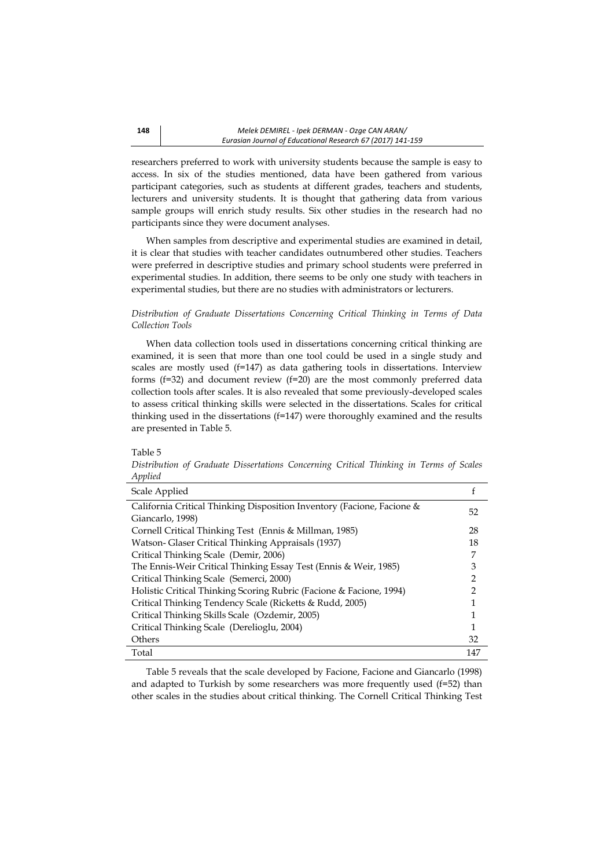researchers preferred to work with university students because the sample is easy to access. In six of the studies mentioned, data have been gathered from various participant categories, such as students at different grades, teachers and students, lecturers and university students. It is thought that gathering data from various sample groups will enrich study results. Six other studies in the research had no participants since they were document analyses.

When samples from descriptive and experimental studies are examined in detail, it is clear that studies with teacher candidates outnumbered other studies. Teachers were preferred in descriptive studies and primary school students were preferred in experimental studies. In addition, there seems to be only one study with teachers in experimental studies, but there are no studies with administrators or lecturers.

## *Distribution of Graduate Dissertations Concerning Critical Thinking in Terms of Data Collection Tools*

When data collection tools used in dissertations concerning critical thinking are examined, it is seen that more than one tool could be used in a single study and scales are mostly used (f=147) as data gathering tools in dissertations. Interview forms (f=32) and document review (f=20) are the most commonly preferred data collection tools after scales. It is also revealed that some previously-developed scales to assess critical thinking skills were selected in the dissertations. Scales for critical thinking used in the dissertations (f=147) were thoroughly examined and the results are presented in Table 5.

#### Table 5

*Distribution of Graduate Dissertations Concerning Critical Thinking in Terms of Scales Applied* 

| Scale Applied                                                          |     |
|------------------------------------------------------------------------|-----|
| California Critical Thinking Disposition Inventory (Facione, Facione & | 52  |
| Giancarlo, 1998)                                                       |     |
| Cornell Critical Thinking Test (Ennis & Millman, 1985)                 | 28  |
| Watson- Glaser Critical Thinking Appraisals (1937)                     | 18  |
| Critical Thinking Scale (Demir, 2006)                                  | 7   |
| The Ennis-Weir Critical Thinking Essay Test (Ennis & Weir, 1985)       | 3   |
| Critical Thinking Scale (Semerci, 2000)                                | 2   |
| Holistic Critical Thinking Scoring Rubric (Facione & Facione, 1994)    | 2   |
| Critical Thinking Tendency Scale (Ricketts & Rudd, 2005)               |     |
| Critical Thinking Skills Scale (Ozdemir, 2005)                         |     |
| Critical Thinking Scale (Derelioglu, 2004)                             |     |
| Others                                                                 | 32  |
| Total                                                                  | 147 |

Table 5 reveals that the scale developed by Facione, Facione and Giancarlo (1998) and adapted to Turkish by some researchers was more frequently used (f=52) than other scales in the studies about critical thinking. The Cornell Critical Thinking Test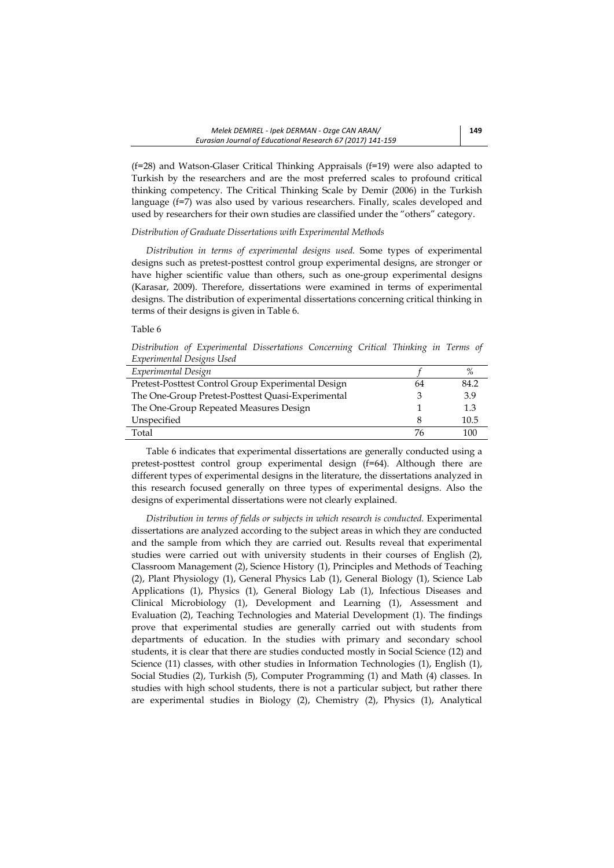(f=28) and Watson-Glaser Critical Thinking Appraisals (f=19) were also adapted to Turkish by the researchers and are the most preferred scales to profound critical thinking competency. The Critical Thinking Scale by Demir (2006) in the Turkish language (f=7) was also used by various researchers. Finally, scales developed and used by researchers for their own studies are classified under the "others" category.

## *Distribution of Graduate Dissertations with Experimental Methods*

*Distribution in terms of experimental designs used.* Some types of experimental designs such as pretest-posttest control group experimental designs, are stronger or have higher scientific value than others, such as one-group experimental designs (Karasar, 2009). Therefore, dissertations were examined in terms of experimental designs. The distribution of experimental dissertations concerning critical thinking in terms of their designs is given in Table 6.

### Table 6

*Distribution of Experimental Dissertations Concerning Critical Thinking in Terms of Experimental Designs Used* 

| Experimental Design                                |    |      |
|----------------------------------------------------|----|------|
| Pretest-Posttest Control Group Experimental Design | 64 | 84.2 |
| The One-Group Pretest-Posttest Quasi-Experimental  |    | 3.9  |
| The One-Group Repeated Measures Design             |    | 1.3  |
| Unspecified                                        |    | 10.5 |
| Total                                              | 76 | 100  |

Table 6 indicates that experimental dissertations are generally conducted using a pretest-posttest control group experimental design (f=64). Although there are different types of experimental designs in the literature, the dissertations analyzed in this research focused generally on three types of experimental designs. Also the designs of experimental dissertations were not clearly explained.

*Distribution in terms of fields or subjects in which research is conducted.* Experimental dissertations are analyzed according to the subject areas in which they are conducted and the sample from which they are carried out. Results reveal that experimental studies were carried out with university students in their courses of English (2), Classroom Management (2), Science History (1), Principles and Methods of Teaching (2), Plant Physiology (1), General Physics Lab (1), General Biology (1), Science Lab Applications (1), Physics (1), General Biology Lab (1), Infectious Diseases and Clinical Microbiology (1), Development and Learning (1), Assessment and Evaluation (2), Teaching Technologies and Material Development (1). The findings prove that experimental studies are generally carried out with students from departments of education. In the studies with primary and secondary school students, it is clear that there are studies conducted mostly in Social Science (12) and Science (11) classes, with other studies in Information Technologies (1), English (1), Social Studies (2), Turkish (5), Computer Programming (1) and Math (4) classes. In studies with high school students, there is not a particular subject, but rather there are experimental studies in Biology (2), Chemistry (2), Physics (1), Analytical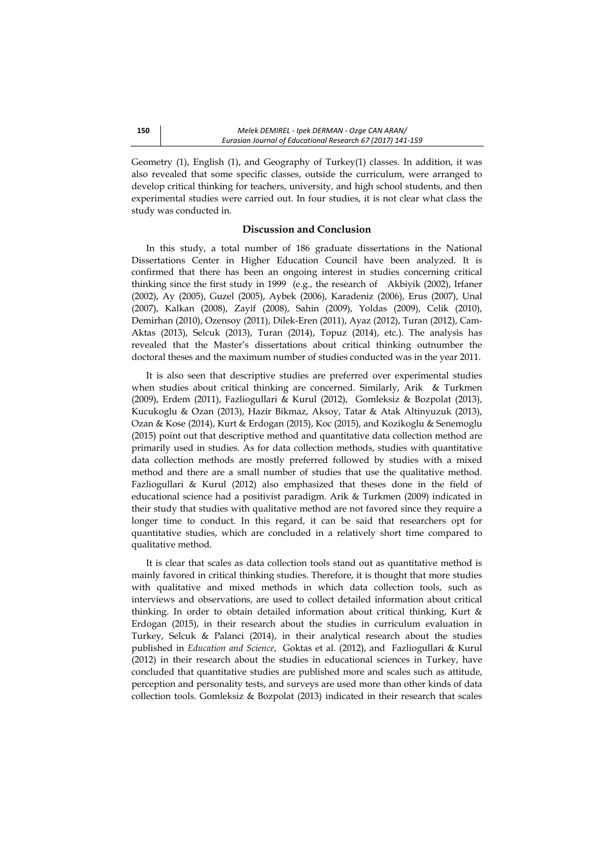Geometry (1), English (1), and Geography of Turkey(1) classes. In addition, it was also revealed that some specific classes, outside the curriculum, were arranged to develop critical thinking for teachers, university, and high school students, and then experimental studies were carried out. In four studies, it is not clear what class the study was conducted in.

## **Discussion and Conclusion**

In this study, a total number of 186 graduate dissertations in the National Dissertations Center in Higher Education Council have been analyzed. It is confirmed that there has been an ongoing interest in studies concerning critical thinking since the first study in 1999 (e.g., the research of Akbiyik (2002), Irfaner (2002), Ay (2005), Guzel (2005), Aybek (2006), Karadeniz (2006), Erus (2007), Unal (2007), Kalkan (2008), Zayif (2008), Sahin (2009), Yoldas (2009), Celik (2010), Demirhan (2010), Ozensoy (2011), Dilek-Eren (2011), Ayaz (2012), Turan (2012), Cam-Aktas (2013), Selcuk (2013), Turan (2014), Topuz (2014), etc.). The analysis has revealed that the Master's dissertations about critical thinking outnumber the doctoral theses and the maximum number of studies conducted was in the year 2011.

It is also seen that descriptive studies are preferred over experimental studies when studies about critical thinking are concerned. Similarly, Arik & Turkmen (2009), Erdem (2011), Fazliogullari & Kurul (2012), Gomleksiz & Bozpolat (2013), Kucukoglu & Ozan (2013), Hazir Bikmaz, Aksoy, Tatar & Atak Altinyuzuk (2013), Ozan & Kose (2014), Kurt & Erdogan (2015), Koc (2015), and Kozikoglu & Senemoglu (2015) point out that descriptive method and quantitative data collection method are primarily used in studies. As for data collection methods, studies with quantitative data collection methods are mostly preferred followed by studies with a mixed method and there are a small number of studies that use the qualitative method. Fazliogullari & Kurul (2012) also emphasized that theses done in the field of educational science had a positivist paradigm. Arik & Turkmen (2009) indicated in their study that studies with qualitative method are not favored since they require a longer time to conduct. In this regard, it can be said that researchers opt for quantitative studies, which are concluded in a relatively short time compared to qualitative method.

It is clear that scales as data collection tools stand out as quantitative method is mainly favored in critical thinking studies. Therefore, it is thought that more studies with qualitative and mixed methods in which data collection tools, such as interviews and observations, are used to collect detailed information about critical thinking. In order to obtain detailed information about critical thinking, Kurt & Erdogan (2015), in their research about the studies in curriculum evaluation in Turkey, Selcuk & Palanci (2014), in their analytical research about the studies published in *Education and Science*, Goktas et al. (2012), and Fazliogullari & Kurul (2012) in their research about the studies in educational sciences in Turkey, have concluded that quantitative studies are published more and scales such as attitude, perception and personality tests, and surveys are used more than other kinds of data collection tools. Gomleksiz & Bozpolat (2013) indicated in their research that scales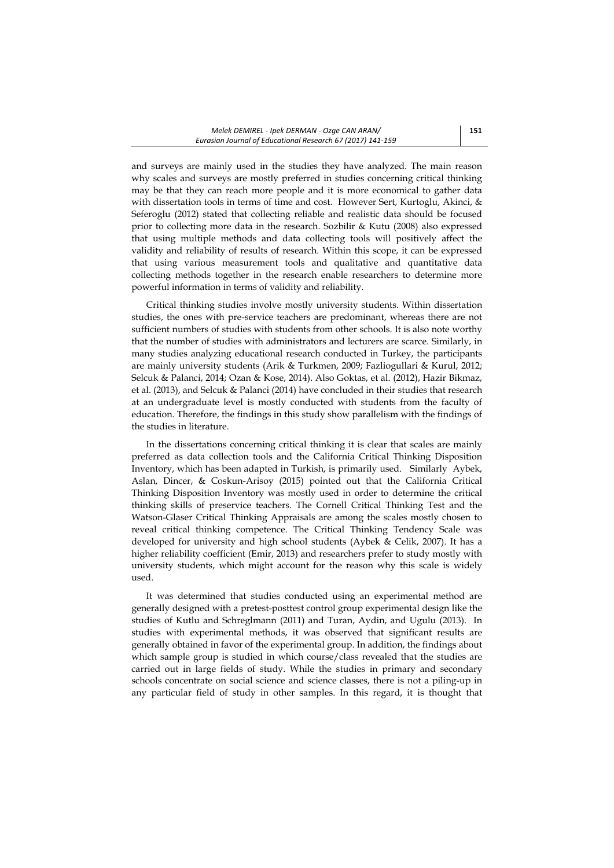and surveys are mainly used in the studies they have analyzed. The main reason why scales and surveys are mostly preferred in studies concerning critical thinking may be that they can reach more people and it is more economical to gather data with dissertation tools in terms of time and cost. However Sert, Kurtoglu, Akinci, & Seferoglu (2012) stated that collecting reliable and realistic data should be focused prior to collecting more data in the research. Sozbilir & Kutu (2008) also expressed that using multiple methods and data collecting tools will positively affect the validity and reliability of results of research. Within this scope, it can be expressed that using various measurement tools and qualitative and quantitative data collecting methods together in the research enable researchers to determine more powerful information in terms of validity and reliability.

Critical thinking studies involve mostly university students. Within dissertation studies, the ones with pre-service teachers are predominant, whereas there are not sufficient numbers of studies with students from other schools. It is also note worthy that the number of studies with administrators and lecturers are scarce. Similarly, in many studies analyzing educational research conducted in Turkey, the participants are mainly university students (Arik & Turkmen, 2009; Fazliogullari & Kurul, 2012; Selcuk & Palanci, 2014; Ozan & Kose, 2014). Also Goktas, et al. (2012), Hazir Bikmaz, et al. (2013), and Selcuk & Palanci (2014) have concluded in their studies that research at an undergraduate level is mostly conducted with students from the faculty of education. Therefore, the findings in this study show parallelism with the findings of the studies in literature.

In the dissertations concerning critical thinking it is clear that scales are mainly preferred as data collection tools and the California Critical Thinking Disposition Inventory, which has been adapted in Turkish, is primarily used. Similarly Aybek, Aslan, Dincer, & Coskun-Arisoy (2015) pointed out that the California Critical Thinking Disposition Inventory was mostly used in order to determine the critical thinking skills of preservice teachers. The Cornell Critical Thinking Test and the Watson-Glaser Critical Thinking Appraisals are among the scales mostly chosen to reveal critical thinking competence. The Critical Thinking Tendency Scale was developed for university and high school students (Aybek & Celik, 2007). It has a higher reliability coefficient (Emir, 2013) and researchers prefer to study mostly with university students, which might account for the reason why this scale is widely used.

It was determined that studies conducted using an experimental method are generally designed with a pretest-posttest control group experimental design like the studies of Kutlu and Schreglmann (2011) and Turan, Aydin, and Ugulu (2013). In studies with experimental methods, it was observed that significant results are generally obtained in favor of the experimental group. In addition, the findings about which sample group is studied in which course/class revealed that the studies are carried out in large fields of study. While the studies in primary and secondary schools concentrate on social science and science classes, there is not a piling-up in any particular field of study in other samples. In this regard, it is thought that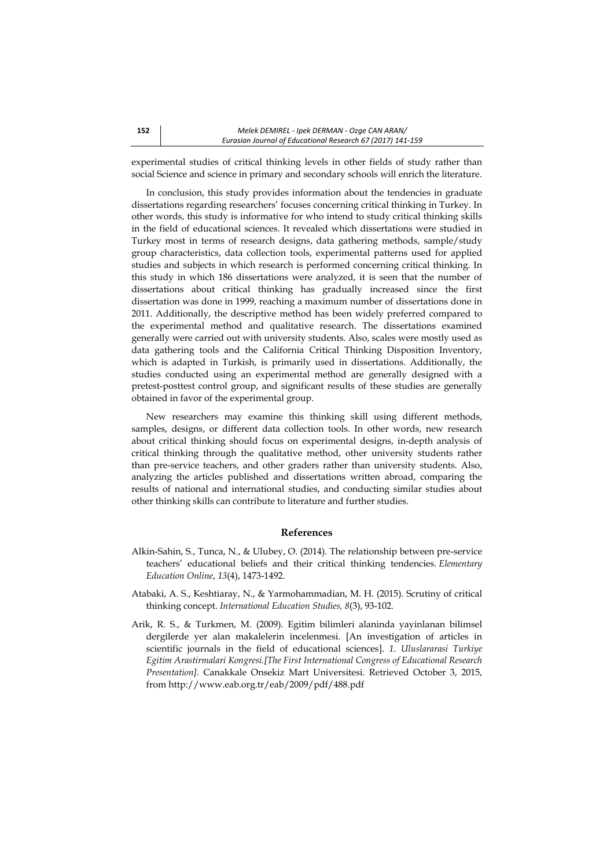experimental studies of critical thinking levels in other fields of study rather than social Science and science in primary and secondary schools will enrich the literature.

In conclusion, this study provides information about the tendencies in graduate dissertations regarding researchers' focuses concerning critical thinking in Turkey. In other words, this study is informative for who intend to study critical thinking skills in the field of educational sciences. It revealed which dissertations were studied in Turkey most in terms of research designs, data gathering methods, sample/study group characteristics, data collection tools, experimental patterns used for applied studies and subjects in which research is performed concerning critical thinking. In this study in which 186 dissertations were analyzed, it is seen that the number of dissertations about critical thinking has gradually increased since the first dissertation was done in 1999, reaching a maximum number of dissertations done in 2011. Additionally, the descriptive method has been widely preferred compared to the experimental method and qualitative research. The dissertations examined generally were carried out with university students. Also, scales were mostly used as data gathering tools and the California Critical Thinking Disposition Inventory, which is adapted in Turkish, is primarily used in dissertations. Additionally, the studies conducted using an experimental method are generally designed with a pretest-posttest control group, and significant results of these studies are generally obtained in favor of the experimental group.

New researchers may examine this thinking skill using different methods, samples, designs, or different data collection tools. In other words, new research about critical thinking should focus on experimental designs, in-depth analysis of critical thinking through the qualitative method, other university students rather than pre-service teachers, and other graders rather than university students. Also, analyzing the articles published and dissertations written abroad, comparing the results of national and international studies, and conducting similar studies about other thinking skills can contribute to literature and further studies.

### **References**

- Alkin-Sahin, S., Tunca, N., & Ulubey, O. (2014). The relationship between pre-service teachers' educational beliefs and their critical thinking tendencies. *Elementary Education Online*, *13*(4), 1473-1492.
- Atabaki, A. S., Keshtiaray, N., & Yarmohammadian, M. H. (2015). Scrutiny of critical thinking concept. *International Education Studies, 8*(3), 93-102.
- Arik, R. S., & Turkmen, M. (2009). Egitim bilimleri alaninda yayinlanan bilimsel dergilerde yer alan makalelerin incelenmesi. [An investigation of articles in scientific journals in the field of educational sciences]. *1. Uluslararasi Turkiye Egitim Arastirmalari Kongresi.[The First International Congress of Educational Research Presentation].* Canakkale Onsekiz Mart Universitesi. Retrieved October 3, 2015, from http://www.eab.org.tr/eab/2009/pdf/488.pdf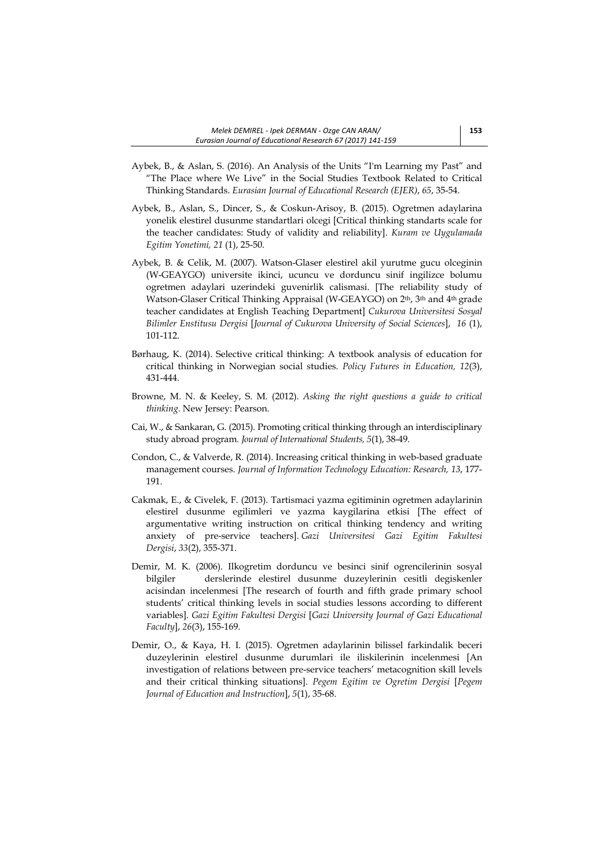- Aybek, B., & Aslan, S. (2016). An Analysis of the Units "I'm Learning my Past" and "The Place where We Live" in the Social Studies Textbook Related to Critical Thinking Standards. *Eurasian Journal of Educational Research (EJER)*, *65*, 35-54.
- Aybek, B., Aslan, S., Dincer, S., & Coskun-Arisoy, B. (2015). Ogretmen adaylarina yonelik elestirel dusunme standartlari olcegi [Critical thinking standarts scale for the teacher candidates: Study of validity and reliability]. *Kuram ve Uygulamada Egitim Yonetimi, 21* (1), 25-50.
- Aybek, B. & Celik, M. (2007). Watson-Glaser elestirel akil yurutme gucu olceginin (W-GEAYGO) universite ikinci, ucuncu ve dorduncu sinif ingilizce bolumu ogretmen adaylari uzerindeki guvenirlik calismasi. [The reliability study of Watson-Glaser Critical Thinking Appraisal (W-GEAYGO) on 2th, 3th and 4th grade teacher candidates at English Teaching Department] *Cukurova Universitesi Sosyal Bilimler Enstitusu Dergisi* [*Journal of Cukurova University of Social Sciences*], *16* (1), 101-112.
- Børhaug, K. (2014). Selective critical thinking: A textbook analysis of education for critical thinking in Norwegian social studies. *Policy Futures in Education, 12*(3), 431-444.
- Browne, M. N. & Keeley, S. M. (2012). *Asking the right questions a guide to critical thinking.* New Jersey: Pearson.
- Cai, W., & Sankaran, G. (2015). Promoting critical thinking through an interdisciplinary study abroad program*. Journal of International Students, 5*(1), 38-49.
- Condon, C., & Valverde, R. (2014). Increasing critical thinking in web-based graduate management courses. *Journal of Information Technology Education: Research, 13*, 177- 191.
- Cakmak, E., & Civelek, F. (2013). Tartismaci yazma egitiminin ogretmen adaylarinin elestirel dusunme egilimleri ve yazma kaygilarina etkisi [The effect of argumentative writing instruction on critical thinking tendency and writing anxiety of pre-service teachers]. *Gazi Universitesi Gazi Egitim Fakultesi Dergisi*, *33*(2), 355-371.
- Demir, M. K. (2006). Ilkogretim dorduncu ve besinci sinif ogrencilerinin sosyal bilgiler derslerinde elestirel dusunme duzeylerinin cesitli degiskenler acisindan incelenmesi [The research of fourth and fifth grade primary school students' critical thinking levels in social studies lessons according to different variables]. *Gazi Egitim Fakultesi Dergisi* [*Gazi University Journal of Gazi Educational Faculty*], *26*(3), 155-169.
- Demir, O., & Kaya, H. I. (2015). Ogretmen adaylarinin bilissel farkindalik beceri duzeylerinin elestirel dusunme durumlari ile iliskilerinin incelenmesi [An investigation of relations between pre-service teachers' metacognition skill levels and their critical thinking situations]. *Pegem Egitim ve Ogretim Dergisi* [*Pegem Journal of Education and Instruction*], *5*(1), 35-68.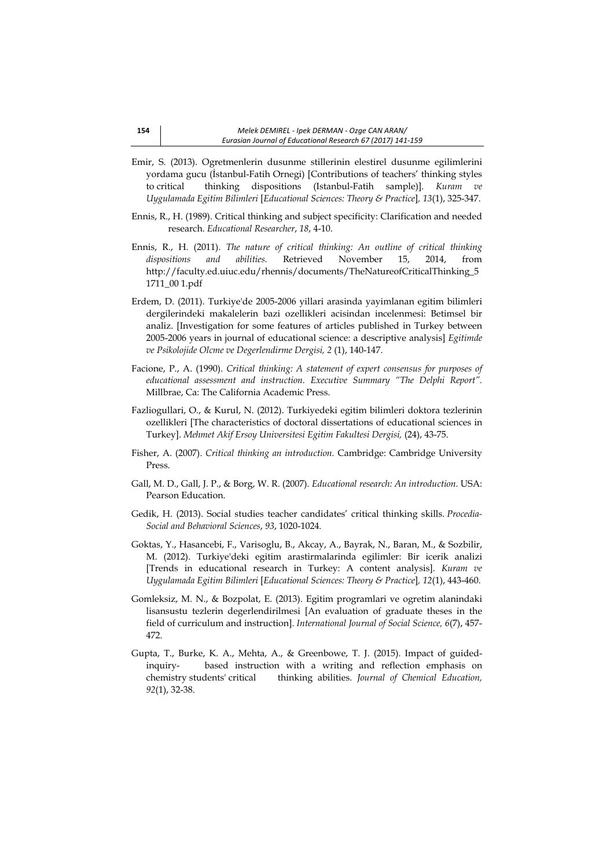- Emir, S. (2013). Ogretmenlerin dusunme stillerinin elestirel dusunme egilimlerini yordama gucu (İstanbul-Fatih Ornegi) [Contributions of teachers' thinking styles to critical thinking dispositions (Istanbul-Fatih sample)]. *Kuram ve Uygulamada Egitim Bilimleri* [*Educational Sciences: Theory & Practice*]*, 13*(1), 325-347.
- Ennis, R., H. (1989). Critical thinking and subject specificity: Clarification and needed research. *Educational Researcher*, *18*, 4-10.
- Ennis, R., H. (2011). *The nature of critical thinking: An outline of critical thinking dispositions and abilities.* Retrieved November 15, 2014, from http://faculty.ed.uiuc.edu/rhennis/documents/TheNatureofCriticalThinking\_5 1711\_00 1.pdf
- Erdem, D. (2011). Turkiye'de 2005-2006 yillari arasinda yayimlanan egitim bilimleri dergilerindeki makalelerin bazi ozellikleri acisindan incelenmesi: Betimsel bir analiz. [Investigation for some features of articles published in Turkey between 2005-2006 years in journal of educational science: a descriptive analysis] *Egitimde ve Psikolojide Olcme ve Degerlendirme Dergisi, 2* (1), 140-147.
- Facione, P., A. (1990). *Critical thinking: A statement of expert consensus for purposes of educational assessment and instruction. Executive Summary "The Delphi Report".* Millbrae, Ca: The California Academic Press.
- Fazliogullari, O., & Kurul, N. (2012). Turkiyedeki egitim bilimleri doktora tezlerinin ozellikleri [The characteristics of doctoral dissertations of educational sciences in Turkey]. *Mehmet Akif Ersoy Universitesi Egitim Fakultesi Dergisi,* (24), 43-75.
- Fisher, A. (2007). *Critical thinking an introduction.* Cambridge: Cambridge University Press.
- Gall, M. D., Gall, J. P., & Borg, W. R. (2007). *Educational research: An introduction.* USA: Pearson Education.
- Gedik, H. (2013). Social studies teacher candidates' critical thinking skills. *Procedia-Social and Behavioral Sciences*, *93*, 1020-1024.
- Goktas, Y., Hasancebi, F., Varisoglu, B., Akcay, A., Bayrak, N., Baran, M., & Sozbilir, M. (2012). Turkiye'deki egitim arastirmalarinda egilimler: Bir icerik analizi [Trends in educational research in Turkey: A content analysis]. *Kuram ve Uygulamada Egitim Bilimleri* [*Educational Sciences: Theory & Practice*]*, 12*(1), 443-460.
- Gomleksiz, M. N., & Bozpolat, E. (2013). Egitim programlari ve ogretim alanindaki lisansustu tezlerin degerlendirilmesi [An evaluation of graduate theses in the field of curriculum and instruction]. *International Journal of Social Science, 6*(7), 457- 472.
- Gupta, T., Burke, K. A., Mehta, A., & Greenbowe, T. J. (2015). Impact of guidedinquiry- based instruction with a writing and reflection emphasis on chemistry students' critical thinking abilities. *Journal of Chemical Education, 92*(1), 32-38.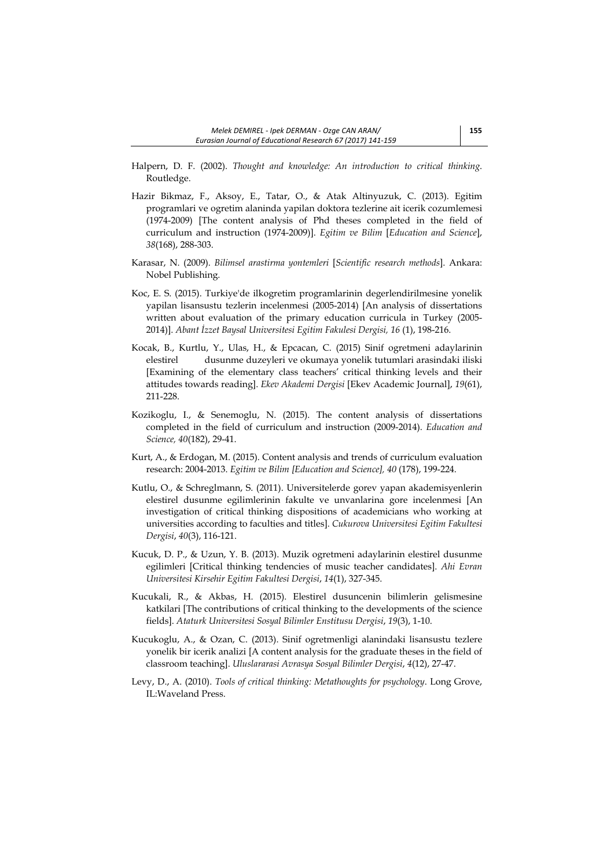- Halpern, D. F. (2002). *Thought and knowledge: An introduction to critical thinking*. Routledge.
- Hazir Bikmaz, F., Aksoy, E., Tatar, O., & Atak Altinyuzuk, C. (2013). Egitim programlari ve ogretim alaninda yapilan doktora tezlerine ait icerik cozumlemesi (1974-2009) [The content analysis of Phd theses completed in the field of curriculum and instruction (1974-2009)]. *Egitim ve Bilim* [*Education and Science*], *38*(168), 288-303.
- Karasar, N. (2009). *Bilimsel arastirma yontemleri* [*Scientific research methods*]. Ankara: Nobel Publishing.
- Koc, E. S. (2015). Turkiye'de ilkogretim programlarinin degerlendirilmesine yonelik yapilan lisansustu tezlerin incelenmesi (2005-2014) [An analysis of dissertations written about evaluation of the primary education curricula in Turkey (2005- 2014)]. *Abant İzzet Baysal Universitesi Egitim Fakulesi Dergisi, 16* (1), 198-216.
- Kocak, B., Kurtlu, Y., Ulas, H., & Epcacan, C. (2015) Sinif ogretmeni adaylarinin elestirel dusunme duzeyleri ve okumaya yonelik tutumlari arasindaki iliski [Examining of the elementary class teachers' critical thinking levels and their attitudes towards reading]. *Ekev Akademi Dergisi* [Ekev Academic Journal], *19*(61), 211-228.
- Kozikoglu, I., & Senemoglu, N. (2015). The content analysis of dissertations completed in the field of curriculum and instruction (2009-2014). *Education and Science, 40*(182), 29-41.
- Kurt, A., & Erdogan, M. (2015). Content analysis and trends of curriculum evaluation research: 2004-2013. *Egitim ve Bilim [Education and Science], 40* (178), 199-224.
- Kutlu, O., & Schreglmann, S. (2011). Universitelerde gorev yapan akademisyenlerin elestirel dusunme egilimlerinin fakulte ve unvanlarina gore incelenmesi [An investigation of critical thinking dispositions of academicians who working at universities according to faculties and titles]. *Cukurova Universitesi Egitim Fakultesi Dergisi*, *40*(3), 116-121.
- Kucuk, D. P., & Uzun, Y. B. (2013). Muzik ogretmeni adaylarinin elestirel dusunme egilimleri [Critical thinking tendencies of music teacher candidates]. *Ahi Evran Universitesi Kirsehir Egitim Fakultesi Dergisi*, *14*(1), 327-345.
- Kucukali, R., & Akbas, H. (2015). Elestirel dusuncenin bilimlerin gelismesine katkilari [The contributions of critical thinking to the developments of the science fields]. *Ataturk Universitesi Sosyal Bilimler Enstitusu Dergisi*, *19*(3), 1-10.
- Kucukoglu, A., & Ozan, C. (2013). Sinif ogretmenligi alanindaki lisansustu tezlere yonelik bir icerik analizi [A content analysis for the graduate theses in the field of classroom teaching]. *Uluslararasi Avrasya Sosyal Bilimler Dergisi*, *4*(12), 27-47.
- Levy, D., A. (2010). *Tools of critical thinking: Metathoughts for psychology*. Long Grove, IL:Waveland Press.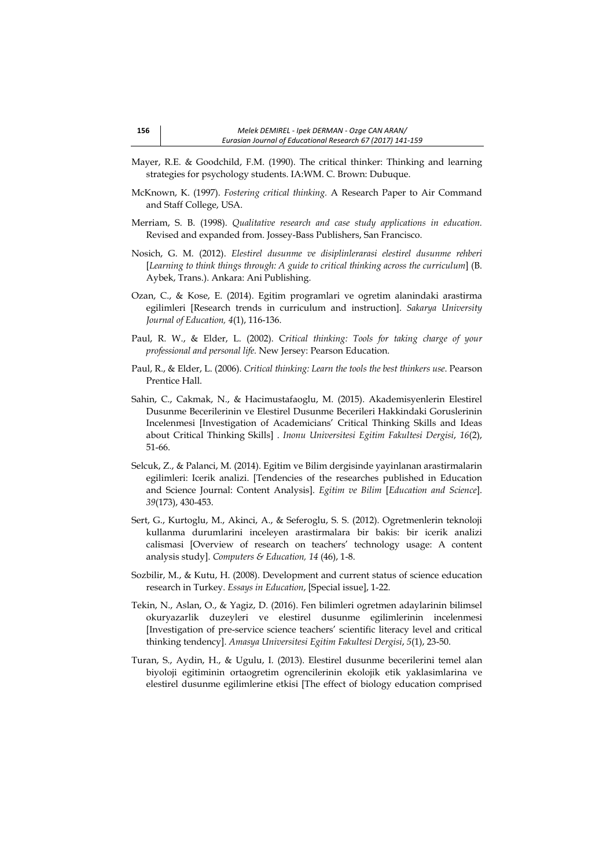- Mayer, R.E. & Goodchild, F.M. (1990). The critical thinker: Thinking and learning strategies for psychology students. IA:WM. C. Brown: Dubuque.
- McKnown, K. (1997). *Fostering critical thinking.* A Research Paper to Air Command and Staff College, USA.
- Merriam, S. B. (1998). *Qualitative research and case study applications in education.* Revised and expanded from. Jossey-Bass Publishers, San Francisco.
- Nosich, G. M. (2012). *Elestirel dusunme ve disiplinlerarasi elestirel dusunme rehberi*  [*Learning to think things through: A guide to critical thinking across the curriculum*] (B. Aybek, Trans.). Ankara: Ani Publishing.
- Ozan, C., & Kose, E. (2014). Egitim programlari ve ogretim alanindaki arastirma egilimleri [Research trends in curriculum and instruction]. *Sakarya University Journal of Education, 4*(1), 116-136.
- Paul, R. W., & Elder, L. (2002). C*ritical thinking: Tools for taking charge of your professional and personal life.* New Jersey: Pearson Education.
- Paul, R., & Elder, L. (2006). *Critical thinking: Learn the tools the best thinkers use*. Pearson Prentice Hall.
- Sahin, C., Cakmak, N., & Hacimustafaoglu, M. (2015). Akademisyenlerin Elestirel Dusunme Becerilerinin ve Elestirel Dusunme Becerileri Hakkindaki Goruslerinin Incelenmesi [Investigation of Academicians' Critical Thinking Skills and Ideas about Critical Thinking Skills] . *Inonu Universitesi Egitim Fakultesi Dergisi*, *16*(2), 51-66.
- Selcuk, Z., & Palanci, M. (2014). Egitim ve Bilim dergisinde yayinlanan arastirmalarin egilimleri: Icerik analizi. [Tendencies of the researches published in Education and Science Journal: Content Analysis]. *Egitim ve Bilim* [*Education and Science*]. *39*(173), 430-453.
- Sert, G., Kurtoglu, M., Akinci, A., & Seferoglu, S. S. (2012). Ogretmenlerin teknoloji kullanma durumlarini inceleyen arastirmalara bir bakis: bir icerik analizi calismasi [Overview of research on teachers' technology usage: A content analysis study]. *Computers & Education, 14* (46), 1-8.
- Sozbilir, M., & Kutu, H. (2008). Development and current status of science education research in Turkey. *Essays in Education*, [Special issue], 1-22.
- Tekin, N., Aslan, O., & Yagiz, D. (2016). Fen bilimleri ogretmen adaylarinin bilimsel okuryazarlik duzeyleri ve elestirel dusunme egilimlerinin incelenmesi [Investigation of pre-service science teachers' scientific literacy level and critical thinking tendency]. *Amasya Universitesi Egitim Fakultesi Dergisi*, *5*(1), 23-50.
- Turan, S., Aydin, H., & Ugulu, I. (2013). Elestirel dusunme becerilerini temel alan biyoloji egitiminin ortaogretim ogrencilerinin ekolojik etik yaklasimlarina ve elestirel dusunme egilimlerine etkisi [The effect of biology education comprised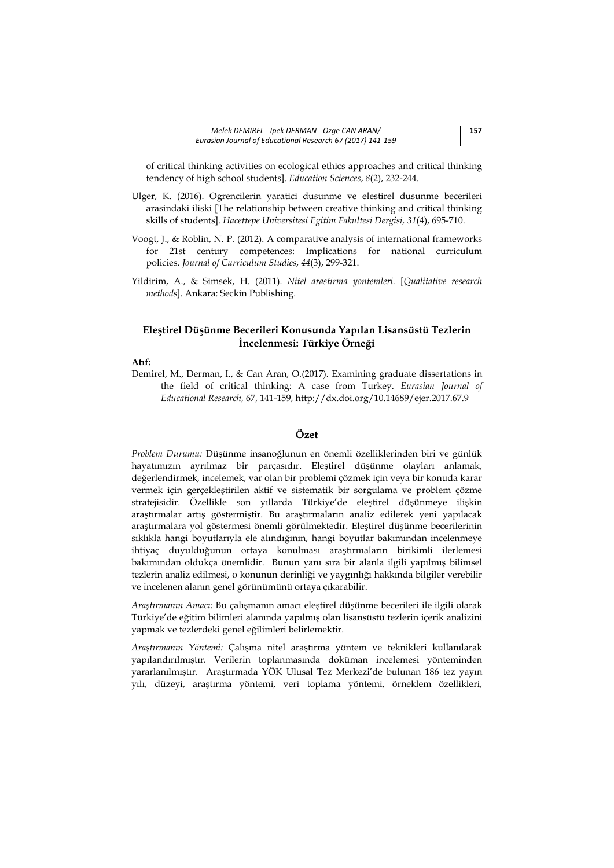of critical thinking activities on ecological ethics approaches and critical thinking tendency of high school students]. *Education Sciences*, *8*(2), 232-244.

- Ulger, K. (2016). Ogrencilerin yaratici dusunme ve elestirel dusunme becerileri arasindaki iliski [The relationship between creative thinking and critical thinking skills of students]. *Hacettepe Universitesi Egitim Fakultesi Dergisi, 31*(4), 695-710.
- Voogt, J., & Roblin, N. P. (2012). A comparative analysis of international frameworks for 21st century competences: Implications for national curriculum policies. *Journal of Curriculum Studies*, *44*(3), 299-321.
- Yildirim, A., & Simsek, H. (2011). *Nitel arastirma yontemleri.* [*Qualitative research methods*]. Ankara: Seckin Publishing.

## **Eleştirel Düşünme Becerileri Konusunda Yapılan Lisansüstü Tezlerin İncelenmesi: Türkiye Örneği**

## **Atıf:**

Demirel, M., Derman, I., & Can Aran, O.(2017). Examining graduate dissertations in the field of critical thinking: A case from Turkey. *Eurasian Journal of Educational Research*, 67, 141-159, http://dx.doi.org/10.14689/ejer.2017.67.9

# **Özet**

*Problem Durumu:* Düşünme insanoğlunun en önemli özelliklerinden biri ve günlük hayatımızın ayrılmaz bir parçasıdır. Eleştirel düşünme olayları anlamak, değerlendirmek, incelemek, var olan bir problemi çözmek için veya bir konuda karar vermek için gerçekleştirilen aktif ve sistematik bir sorgulama ve problem çözme stratejisidir. Özellikle son yıllarda Türkiye'de eleştirel düşünmeye ilişkin araştırmalar artış göstermiştir. Bu araştırmaların analiz edilerek yeni yapılacak araştırmalara yol göstermesi önemli görülmektedir. Eleştirel düşünme becerilerinin sıklıkla hangi boyutlarıyla ele alındığının, hangi boyutlar bakımından incelenmeye ihtiyaç duyulduğunun ortaya konulması araştırmaların birikimli ilerlemesi bakımından oldukça önemlidir. Bunun yanı sıra bir alanla ilgili yapılmış bilimsel tezlerin analiz edilmesi, o konunun derinliği ve yaygınlığı hakkında bilgiler verebilir ve incelenen alanın genel görünümünü ortaya çıkarabilir.

*Araştırmanın Amacı:* Bu çalışmanın amacı eleştirel düşünme becerileri ile ilgili olarak Türkiye'de eğitim bilimleri alanında yapılmış olan lisansüstü tezlerin içerik analizini yapmak ve tezlerdeki genel eğilimleri belirlemektir.

*Araştırmanın Yöntemi:* Çalışma nitel araştırma yöntem ve teknikleri kullanılarak yapılandırılmıştır. Verilerin toplanmasında doküman incelemesi yönteminden yararlanılmıştır. Araştırmada YÖK Ulusal Tez Merkezi'de bulunan 186 tez yayın yılı, düzeyi, araştırma yöntemi, veri toplama yöntemi, örneklem özellikleri,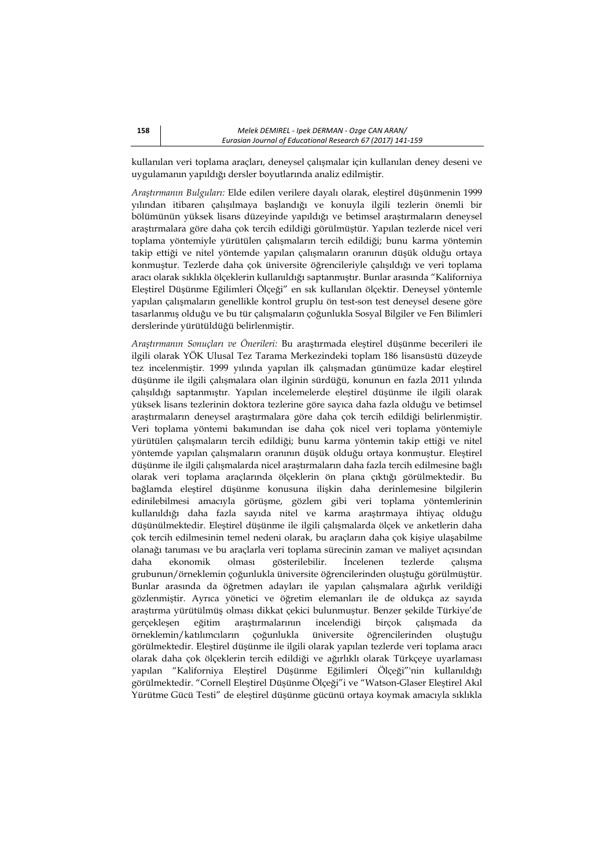kullanılan veri toplama araçları, deneysel çalışmalar için kullanılan deney deseni ve uygulamanın yapıldığı dersler boyutlarında analiz edilmiştir.

*Araştırmanın Bulguları:* Elde edilen verilere dayalı olarak, eleştirel düşünmenin 1999 yılından itibaren çalışılmaya başlandığı ve konuyla ilgili tezlerin önemli bir bölümünün yüksek lisans düzeyinde yapıldığı ve betimsel araştırmaların deneysel araştırmalara göre daha çok tercih edildiği görülmüştür. Yapılan tezlerde nicel veri toplama yöntemiyle yürütülen çalışmaların tercih edildiği; bunu karma yöntemin takip ettiği ve nitel yöntemde yapılan çalışmaların oranının düşük olduğu ortaya konmuştur. Tezlerde daha çok üniversite öğrencileriyle çalışıldığı ve veri toplama aracı olarak sıklıkla ölçeklerin kullanıldığı saptanmıştır. Bunlar arasında "Kaliforniya Eleştirel Düşünme Eğilimleri Ölçeği" en sık kullanılan ölçektir. Deneysel yöntemle yapılan çalışmaların genellikle kontrol gruplu ön test-son test deneysel desene göre tasarlanmış olduğu ve bu tür çalışmaların çoğunlukla Sosyal Bilgiler ve Fen Bilimleri derslerinde yürütüldüğü belirlenmiştir.

*Araştırmanın Sonuçları ve Önerileri:* Bu araştırmada eleştirel düşünme becerileri ile ilgili olarak YÖK Ulusal Tez Tarama Merkezindeki toplam 186 lisansüstü düzeyde tez incelenmiştir. 1999 yılında yapılan ilk çalışmadan günümüze kadar eleştirel düşünme ile ilgili çalışmalara olan ilginin sürdüğü, konunun en fazla 2011 yılında çalışıldığı saptanmıştır. Yapılan incelemelerde eleştirel düşünme ile ilgili olarak yüksek lisans tezlerinin doktora tezlerine göre sayıca daha fazla olduğu ve betimsel araştırmaların deneysel araştırmalara göre daha çok tercih edildiği belirlenmiştir. Veri toplama yöntemi bakımından ise daha çok nicel veri toplama yöntemiyle yürütülen çalışmaların tercih edildiği; bunu karma yöntemin takip ettiği ve nitel yöntemde yapılan çalışmaların oranının düşük olduğu ortaya konmuştur. Eleştirel düşünme ile ilgili çalışmalarda nicel araştırmaların daha fazla tercih edilmesine bağlı olarak veri toplama araçlarında ölçeklerin ön plana çıktığı görülmektedir. Bu bağlamda eleştirel düşünme konusuna ilişkin daha derinlemesine bilgilerin edinilebilmesi amacıyla görüşme, gözlem gibi veri toplama yöntemlerinin kullanıldığı daha fazla sayıda nitel ve karma araştırmaya ihtiyaç olduğu düşünülmektedir. Eleştirel düşünme ile ilgili çalışmalarda ölçek ve anketlerin daha çok tercih edilmesinin temel nedeni olarak, bu araçların daha çok kişiye ulaşabilme olanağı tanıması ve bu araçlarla veri toplama sürecinin zaman ve maliyet açısından daha ekonomik olması gösterilebilir. İncelenen tezlerde çalışma grubunun/örneklemin çoğunlukla üniversite öğrencilerinden oluştuğu görülmüştür. Bunlar arasında da öğretmen adayları ile yapılan çalışmalara ağırlık verildiği gözlenmiştir. Ayrıca yönetici ve öğretim elemanları ile de oldukça az sayıda araştırma yürütülmüş olması dikkat çekici bulunmuştur. Benzer şekilde Türkiye'de gerçekleşen eğitim araştırmalarının incelendiği birçok çalışmada da örneklemin/katılımcıların çoğunlukla üniversite öğrencilerinden oluştuğu görülmektedir. Eleştirel düşünme ile ilgili olarak yapılan tezlerde veri toplama aracı olarak daha çok ölçeklerin tercih edildiği ve ağırlıklı olarak Türkçeye uyarlaması yapılan "Kaliforniya Eleştirel Düşünme Eğilimleri Ölçeği"'nin kullanıldığı görülmektedir. "Cornell Eleştirel Düşünme Ölçeği"i ve "Watson-Glaser Eleştirel Akıl Yürütme Gücü Testi" de eleştirel düşünme gücünü ortaya koymak amacıyla sıklıkla